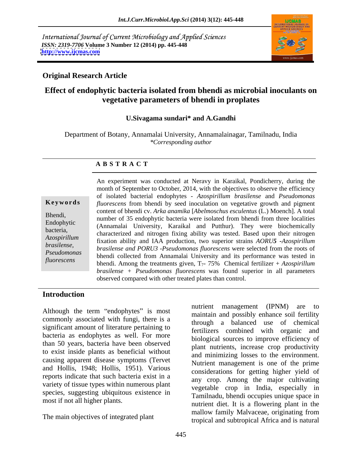International Journal of Current Microbiology and Applied Sciences *ISSN: 2319-7706* **Volume 3 Number 12 (2014) pp. 445-448 <http://www.ijcmas.com>**



## **Original Research Article**

# **Effect of endophytic bacteria isolated from bhendi as microbial inoculants on vegetative parameters of bhendi in proplates**

### **U.Sivagama sundari\* and A.Gandhi**

Department of Botany, Annamalai University, Annamalainagar, Tamilnadu, India *\*Corresponding author* 

### **A B S T R A C T**

**Ke ywo rds** *fluorescens* from bhendi by seed inoculation on vegetative growth and pigment Bhendi,<br>
number of 35 endophytic bacteria were isolated from bhendi from three localities Endophytic (Annamalai University, Karaikal and Putthur). They were biochemically bacteria,<br>
characterized and nitrogen fixing ability was tested. Based upon their nitrogen *Azospirillum*  fixation ability and IAA production, two superior strains *AORU5 -Azospirillum brasilense, brasilense and PORU3 -Pseudomonas fluorescens* were selected from the roots of *Pseudomonas phonetical collected from Annemalai University and its performance was toted in fluorescens* bhendi. Among the treatments given, T<sub>7</sub>- 75% Chemical fertilizer + *Azospirillum* An experiment was conducted at Neravy in Karaikal, Pondicherry, during the month of September to October, 2014, with the objectives to observe the efficiency of isolated bacterial endophytes - *Azospirillum brasilense* and *Pseudomonas*  content of bhendi cv. *Arka anamika* [*Abelmoschus esculentus* (L.) Moench]. A total bhendi collected from Annamalai University and its performance was tested in *brasilense + Pseudomonas fluorescens* was found superior in all parameters observed compared with other treated plates than control.

## **Introduction**

Although the term "endophytes" is most commonly associated with fungi, there is a significant amount of literature pertaining to bacteria as endophytes as well. For more than 50 years, bacteria have been observed to exist inside plants as beneficial without causing apparent disease symptoms (Tervet and Hollis, 1948; Hollis, 1951). Various reports indicate that such bacteria exist in a variety of tissue types within numerous plant species, suggesting ubiquitous existence in

The main objectives of integrated plant

most if not all higher plants.<br>
nutrient diet. It is a flowering plant in the nutrient management (IPNM) are to maintain and possibly enhance soil fertility through a balanced use of chemical fertilizers combined with organic and biological sources to improve efficiency of plant nutrients, increase crop productivity and minimizing losses to the environment. Nutrient management is one of the prime considerations for getting higher yield of any crop. Among the major cultivating vegetable crop in India, especially in Tamilnadu, bhendi occupies unique space in mallow family Malvaceae, originating from tropical and subtropical Africa and is natural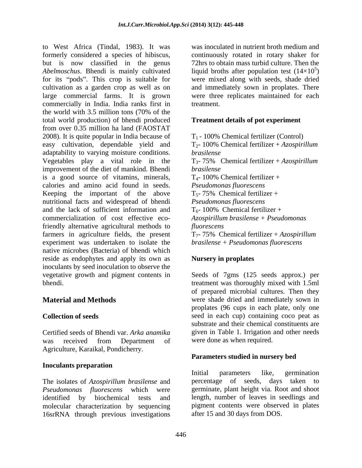to West Africa (Tindal, 1983). It was formerly considered a species of hibiscus, continuously rotated in rotary shaker for but is now classified in the genus *Abelmoschus*. Bhendi is mainly cultivated liquid broths after population test (14×10<sup>5</sup>) for its "pods". This crop is suitable for were mixed along with seeds, shade dried cultivation as a garden crop as well as on large commercial farms. It is grown were three replicates maintained for each commercially in India. India ranks first in the world with 3.5 million tons (70% of the total world production) of bhendi produced from over 0.35 million ha land (FAOSTAT 2008). It is quite popular in India because of easy cultivation, dependable yield and adaptability to varying moisture conditions. *brasilense* Vegetables play a vital role in the T3- 75% Chemical fertilizer + *Azospirillum*  improvement of the diet of mankind. Bhendi brasilense is a good source of vitamins, minerals, calories and amino acid found in seeds. Keeping the important of the above nutritional facts and widespread of bhendi and the lack of sufficient information and commercialization of cost effective ecofriendly alternative agricultural methods to *fluorescens* farmers in agriculture fields, the present experiment was undertaken to isolate the native microbes (Bacteria) of bhendi which reside as endophytes and apply its own as inoculants by seed inoculation to observe the vegetative growth and pigment contents in Seeds of 7gms (125 seeds approx.) per bhendi. treatment was thoroughly mixed with 1.5ml

was received from Department of were-done as when required. Agriculture, Karaikal, Pondicherry.

### **Inoculants preparation**

The isolates of *Azospirillum brasilense* and molecular characterization by sequencing 16srRNA through previous investigations

was inoculated in nutrient broth medium and 72hrs to obtain mass turbid culture. Then the  $5\sqrt{ }$  $)$ and immediately sown in proplates. There treatment.

### **Treatment details of pot experiment**

 $T_1$  - 100% Chemical fertilizer (Control) T2- 100% Chemical fertilizer + *Azospirillum brasilense brasilense*  $T_{4}$ - 100% Chemical fertilizer + *Pseudomonas fluorescens*  $T_{5}$ - 75% Chemical fertilizer + *Pseudomonas fluorescens*  $T_6$ - 100% Chemical fertilizer + *Azospirillum brasilense + Pseudomonas fluorescens* T7- 75% Chemical fertilizer + *Azospirillum brasilense + Pseudomonas fluorescens*

## **Nursery in proplates**

**Material and Methods** were shade dried and immediately sown in **Collection of seeds** seed in each cup) containing coco peat as Certified seeds of Bhendi var. *Arka anamika* given in Table 1. Irrigation and other needs of prepared microbial cultures. Then they proplates (96 cups in each plate, only one substrate and their chemical constituents are were done as when required.

## **Parameters studied in nursery bed**

Pseudomonas *fluorescens* which were germinate, plant height via. Root and shoot identified by biochemical tests and length, number of leaves in seedlings and Initial parameters like, germination percentage of seeds, days taken to pigment contents were observed in plates after 15 and 30 days from DOS.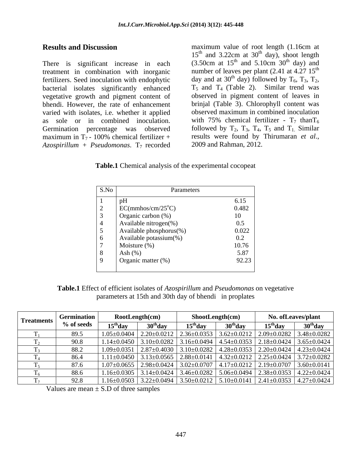There is significant increase in each treatment in combination with inorganic bacterial isolates significantly enhanced  $T_5$  and  $T_4$  (Table 2). Similar trend was vegetative growth and pigment content of varied with isolates, i.e. whether it applied  $Azospirillum + Pseudomonas. T<sub>7</sub> recorded$  2009 and Rahman, 2012.

**Results and Discussion maximum** value of root length (1.16cm at fertilizers. Seed inoculation with endophytic day and at 30<sup>th</sup> day) followed by  $T_6$ ,  $T_3$ ,  $T_2$ , bhendi. However, the rate of enhancement brinjal (Table 3). Chlorophyll content was as sole or in combined inoculation. with 75% chemical fertilizer -  $T_7$  than  $T_6$ Germination percentage was observed followed by  $T_2$ ,  $T_3$ ,  $T_4$ ,  $T_5$  and  $T_1$ . Similar maximum in  $T_7$ - 100% chemical fertilizer + results were found by Thirumaran *et al.*,  $15<sup>th</sup>$  and 3.22cm at 30<sup>th</sup> day), shoot length <sup>th</sup> day), shoot length  $(3.50cm$  at  $15<sup>th</sup>$  and  $5.10cm$   $30<sup>th</sup>$  day) and and  $5.10cm \space 30<sup>th</sup>$  day) and  $^{th}$  day) and number of leaves per plant  $(2.41$  at  $4.27$   $15^{\text{th}}$ th day and at 30<sup>th</sup> day) followed by  $T_6$ ,  $T_3$ ,  $T_2$ ,  $T_5$  and  $T_4$  (Table 2). Similar trend was observed in pigment content of leaves in observed maximum in combined inoculation results were found by Thirumaran *et al*., 2009 and Rahman, 2012.

**Table.1** Chemical analysis of the experimental cocopeat

| $\vert$ S.No $\vert$ | Parameters                 |       |
|----------------------|----------------------------|-------|
|                      | pH                         | 6.15  |
| $\overline{2}$       | $EC(mmbos/cm/25^{\circ}C)$ | 0.482 |
| $\vert 3$            | Organic carbon (%)         | 10    |
| l 4                  | Available nitrogen(%)      | 0.5   |
| $\overline{5}$       | Available phosphorus(%)    | 0.022 |
| $\overline{6}$       | Available potassium(%)     | 0.2   |
| $\overline{z}$       | Moisture $(\%)$            | 10.76 |
| 8 <sup>8</sup>       | Ash $(\%)$                 | 5.87  |
| $\overline{9}$       | Organic matter (%)         | 92.23 |
|                      |                            |       |

**Table.1** Effect of efficient isolates of *Azospirillum* and *Pseudomonas* on vegetative parameters at 15th and 30th day of bhendi in proplates

| <b>Treatments</b> | <b>Germination</b> | RootLength(cm)   |                     | $\text{ShowLength}(cm)$ |            | No. of Leaves/plant                                                                                       |                                                                                                                     |
|-------------------|--------------------|------------------|---------------------|-------------------------|------------|-----------------------------------------------------------------------------------------------------------|---------------------------------------------------------------------------------------------------------------------|
|                   | % of seeds         | $15^{\circ}$ day | 30 <sup>th</sup> da | $15th$ day              | $30th$ day | $15^{\text{th}}$ day                                                                                      | 30 <sup>th</sup> day                                                                                                |
|                   | 89.5               |                  |                     |                         |            |                                                                                                           | $1.05\pm0.0404$   2.20 $\pm$ 0.0212   2.36 $\pm$ 0.0353   3.62 $\pm$ 0.0212   2.09 $\pm$ 0.0282   3.48 $\pm$ 0.0282 |
|                   | 90.8               |                  |                     |                         |            | $1.14\pm0.0450$   $3.10\pm0.0282$   $3.16\pm0.0494$   $4.54\pm0.0353$   $2.18\pm0.0424$   $3.65\pm0.0424$ |                                                                                                                     |
|                   | 88.2               |                  |                     |                         |            | $1.09\pm0.0351$   $2.87\pm0.4030$   $3.10\pm0.0282$   $4.28\pm0.0353$   $2.20\pm0.0424$   $4.23\pm0.0424$ |                                                                                                                     |
|                   | 86.4               |                  |                     |                         |            |                                                                                                           | $1.11\pm0.0450$   $3.13\pm0.0565$   $2.88\pm0.0141$   $4.32\pm0.0212$   $2.25\pm0.0424$   $3.72\pm0.0282$           |
|                   | 87.6               |                  |                     |                         |            | $1.07\pm0.0655$   $2.98\pm0.0424$   $3.02\pm0.0707$   $4.17\pm0.0212$   $2.19\pm0.0707$   $3.60\pm0.0141$ |                                                                                                                     |
|                   | 88.6               |                  |                     |                         |            | $1.16\pm0.0305$   $3.14\pm0.0424$   $3.46\pm0.0282$   $5.06\pm0.0494$   $2.38\pm0.0353$   $4.22\pm0.0424$ |                                                                                                                     |
|                   | 92.8               |                  |                     |                         |            |                                                                                                           | $1.16\pm0.0503$   3.22 $\pm0.0494$   3.50 $\pm0.0212$   5.10 $\pm0.0141$   2.41 $\pm0.0353$   4.27 $\pm0.0424$      |

Values are mean  $\pm$  S.D of three samples